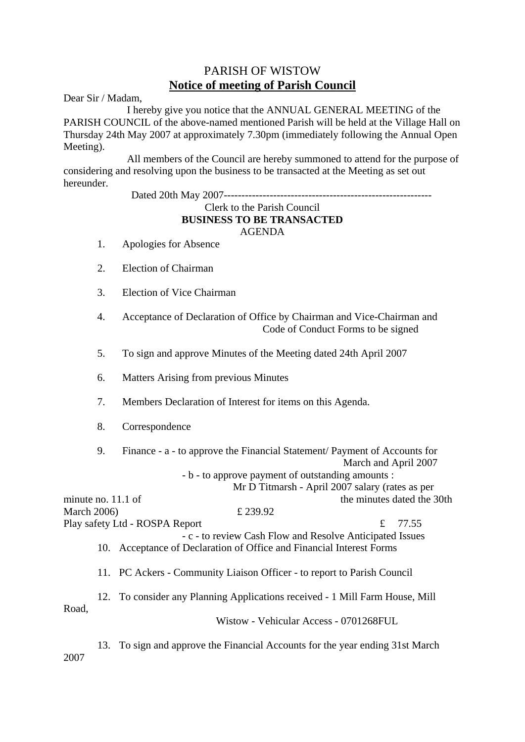## PARISH OF WISTOW **Notice of meeting of Parish Council**

Dear Sir / Madam,

 I hereby give you notice that the ANNUAL GENERAL MEETING of the PARISH COUNCIL of the above-named mentioned Parish will be held at the Village Hall on Thursday 24th May 2007 at approximately 7.30pm (immediately following the Annual Open Meeting).

 All members of the Council are hereby summoned to attend for the purpose of considering and resolving upon the business to be transacted at the Meeting as set out hereunder.

Dated 20th May 2007-----------------------------------------------------------

## Clerk to the Parish Council **BUSINESS TO BE TRANSACTED** AGENDA

- 1. Apologies for Absence
- 2. Election of Chairman
- 3. Election of Vice Chairman
- 4. Acceptance of Declaration of Office by Chairman and Vice-Chairman and Code of Conduct Forms to be signed
- 5. To sign and approve Minutes of the Meeting dated 24th April 2007
- 6. Matters Arising from previous Minutes
- 7. Members Declaration of Interest for items on this Agenda.
- 8. Correspondence

| 9.                   | Finance - a - to approve the Financial Statement/ Payment of Accounts for |                                                          |  |
|----------------------|---------------------------------------------------------------------------|----------------------------------------------------------|--|
|                      |                                                                           | March and April 2007                                     |  |
|                      | - b - to approve payment of outstanding amounts :                         |                                                          |  |
|                      |                                                                           | Mr D Titmarsh - April 2007 salary (rates as per          |  |
| minute no. $11.1$ of |                                                                           | the minutes dated the 30th                               |  |
| <b>March 2006)</b>   | £ 239.92                                                                  |                                                          |  |
|                      | Play safety Ltd - ROSPA Report                                            | 77.55                                                    |  |
|                      |                                                                           | - c - to review Cash Flow and Resolve Anticipated Issues |  |
|                      | 10. Acceptance of Declaration of Office and Financial Interest Forms      |                                                          |  |
|                      |                                                                           |                                                          |  |
|                      | 11. PC Ackers - Community Liaison Officer - to report to Parish Council   |                                                          |  |

 12. To consider any Planning Applications received - 1 Mill Farm House, Mill Road,

Wistow - Vehicular Access - 0701268FUL

 13. To sign and approve the Financial Accounts for the year ending 31st March 2007